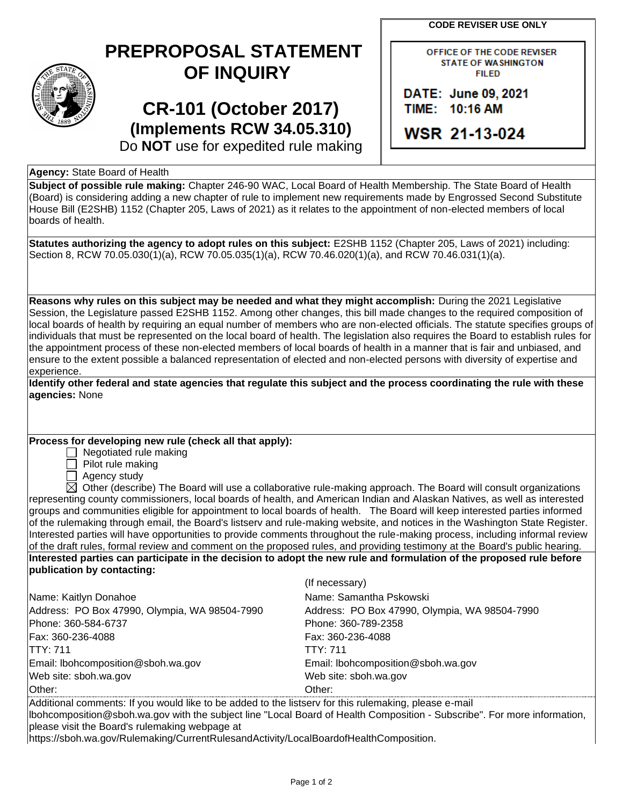**CODE REVISER USE ONLY**

## **PREPROPOSAL STATEMENT OF INQUIRY**

# **CR-101 (October 2017) (Implements RCW 34.05.310)**

OFFICE OF THE CODE REVISER **STATE OF WASHINGTON FILED** 

DATE: June 09, 2021 TIME: 10:16 AM

**WSR 21-13-024** 

Do **NOT** use for expedited rule making

## **Agency:** State Board of Health

**Subject of possible rule making:** Chapter 246-90 WAC, Local Board of Health Membership. The State Board of Health (Board) is considering adding a new chapter of rule to implement new requirements made by Engrossed Second Substitute House Bill (E2SHB) 1152 (Chapter 205, Laws of 2021) as it relates to the appointment of non-elected members of local boards of health.

**Statutes authorizing the agency to adopt rules on this subject:** E2SHB 1152 (Chapter 205, Laws of 2021) including: Section 8, RCW 70.05.030(1)(a), RCW 70.05.035(1)(a), RCW 70.46.020(1)(a), and RCW 70.46.031(1)(a).

**Reasons why rules on this subject may be needed and what they might accomplish:** During the 2021 Legislative Session, the Legislature passed E2SHB 1152. Among other changes, this bill made changes to the required composition of local boards of health by requiring an equal number of members who are non-elected officials. The statute specifies groups of individuals that must be represented on the local board of health. The legislation also requires the Board to establish rules for the appointment process of these non-elected members of local boards of health in a manner that is fair and unbiased, and ensure to the extent possible a balanced representation of elected and non-elected persons with diversity of expertise and experience.

| Identify other federal and state agencies that regulate this subject and the process coordinating the rule with these |  |
|-----------------------------------------------------------------------------------------------------------------------|--|
| agencies: None                                                                                                        |  |

### **Process for developing new rule (check all that apply):**

 $\Box$  Negotiated rule making

 $\Box$  Pilot rule making

 $\Box$  Agency study

 $\boxtimes$  Other (describe) The Board will use a collaborative rule-making approach. The Board will consult organizations representing county commissioners, local boards of health, and American Indian and Alaskan Natives, as well as interested groups and communities eligible for appointment to local boards of health. The Board will keep interested parties informed of the rulemaking through email, the Board's listserv and rule-making website, and notices in the Washington State Register. Interested parties will have opportunities to provide comments throughout the rule-making process, including informal review of the draft rules, formal review and comment on the proposed rules, and providing testimony at the Board's public hearing. **Interested parties can participate in the decision to adopt the new rule and formulation of the proposed rule before publication by contacting:**

|                                               | (If necessary)                                |
|-----------------------------------------------|-----------------------------------------------|
| Name: Kaitlyn Donahoe                         | Name: Samantha Pskowski                       |
| Address: PO Box 47990, Olympia, WA 98504-7990 | Address: PO Box 47990, Olympia, WA 98504-7990 |
| Phone: 360-584-6737                           | Phone: 360-789-2358                           |
| Fax: 360-236-4088                             | Fax: 360-236-4088                             |
| ITTY: 711                                     | TTY:711                                       |
| Email: Ibohcomposition@sboh.wa.gov            | Email: Ibohcomposition@sboh.wa.gov            |
| Web site: sboh.wa.gov                         | Web site: sboh.wa.gov                         |
| Other:                                        | Other:                                        |

Additional comments: If you would like to be added to the listserv for this rulemaking, please e-mail lbohcomposition@sboh.wa.gov with the subject line "Local Board of Health Composition - Subscribe". For more information, please visit the Board's rulemaking webpage at

https://sboh.wa.gov/Rulemaking/CurrentRulesandActivity/LocalBoardofHealthComposition.